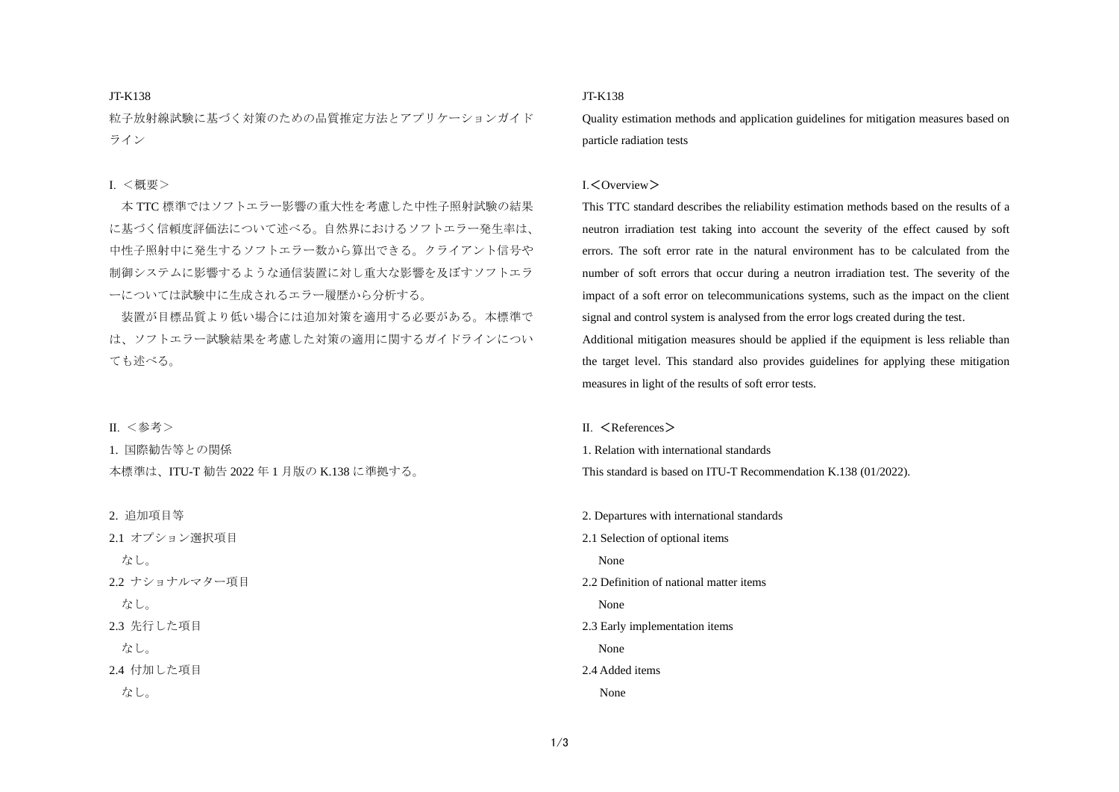## JT-K138

粒子放射線試験に基づく対策のための品質推定方法とアプリケーションガイド ライン

## Ⅰ. <概要>

本 TTC 標準ではソフトエラー影響の重大性を考慮した中性子照射試験の結果 に基づく信頼度評価法について述べる。自然界におけるソフトエラー発生率は、 中性子照射中に発生するソフトエラー数から算出できる。クライアント信号や 制御システムに影響するような通信装置に対し重大な影響を及ぼすソフトエラ ーについては試験中に生成されるエラー履歴から分析する。

装置が目標品質より低い場合には追加対策を適用する必要がある。本標準で は、ソフトエラー試験結果を考慮した対策の適用に関するガイドラインについ ても述べる。

Ⅱ. <参考>

1. 国際勧告等との関係 本標準は、ITU-T 勧告 2022 年 1 月版の K.138 に準拠する。

2. 追加項目等 2.1 オプション選択項目 なし。 2.2 ナショナルマター項目 なし。 2.3 先行した項目 なし。 2.4 付加した項目 なし。

# JT-K138

Quality estimation methods and application guidelines for mitigation measures based on particle radiation tests

## Ⅰ.<Overview>

This TTC standard describes the reliability estimation methods based on the results of a neutron irradiation test taking into account the severity of the effect caused by soft errors. The soft error rate in the natural environment has to be calculated from the number of soft errors that occur during a neutron irradiation test. The severity of the impact of a soft error on telecommunications systems, such as the impact on the client signal and control system is analysed from the error logs created during the test.

Additional mitigation measures should be applied if the equipment is less reliable than the target level. This standard also provides guidelines for applying these mitigation measures in light of the results of soft error tests.

#### $II \leq$ References  $>$

1. Relation with international standards

This standard is based on ITU-T Recommendation K.138 (01/2022).

2. Departures with international standards 2.1 Selection of optional items None 2.2 Definition of national matter items None 2.3 Early implementation items None 2.4 Added items None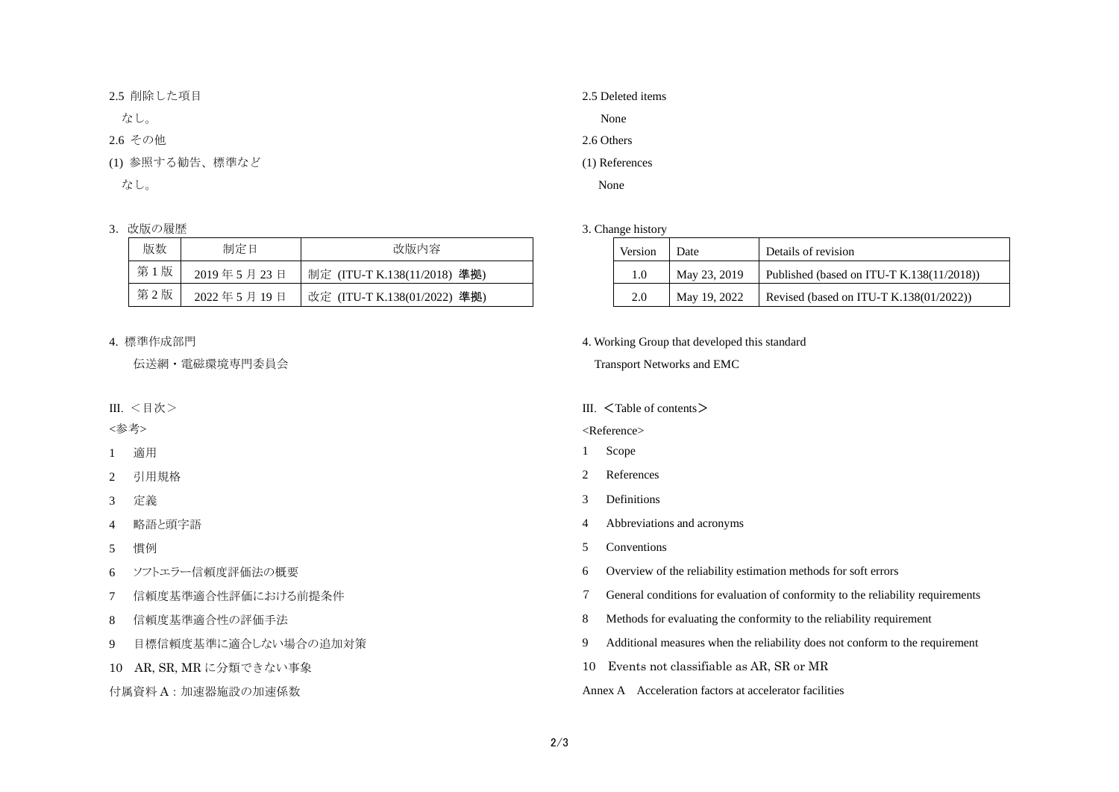2.5 削除した項目

なし。

2.6 その他

(1) 参照する勧告、標準など

なし。

# 3. 改版の履歴

| 版数  | 制定日        | 改版内容                         |
|-----|------------|------------------------------|
| 第1版 | 2019年5月23日 | 制定 (ITU-T K.138(11/2018) 準拠) |
| 第2版 | 2022年5月19日 | 改定 (ITU-T K.138(01/2022) 準拠) |

# 4. 標準作成部門

伝送網・電磁環境専門委員会

Ⅲ. <目次>

<参考>

1 適用

2 引用規格

3 定義

4 略語と頭字語

5 慣例

6 ソフトエラー信頼度評価法の概要

7 信頼度基準適合性評価における前提条件

8 信頼度基準適合性の評価手法

9 目標信頼度基準に適合しない場合の追加対策

10 AR, SR, MR に分類できない事象

付属資料 A:加速器施設の加速係数

| 2.5 Deleted items |
|-------------------|
| None              |
| 2.6 Others        |
| (1) References    |

None

## 3. Change history

| Version | Date         | Details of revision                           |
|---------|--------------|-----------------------------------------------|
| 1.0     | May 23, 2019 | Published (based on ITU-T K.138 $(11/2018)$ ) |
| 2.0     | May 19, 2022 | Revised (based on ITU-T K.138 $(01/2022)$ )   |

4. Working Group that developed this standard

Transport Networks and EMC

#### III. <Table of contents>

<Reference>

1 Scope

2 References

3 Definitions

4 Abbreviations and acronyms

5 Conventions

6 Overview of the reliability estimation methods for soft errors

7 General conditions for evaluation of conformity to the reliability requirements

8 Methods for evaluating the conformity to the reliability requirement

9 Additional measures when the reliability does not conform to the requirement

10 Events not classifiable as AR, SR or MR

Annex A Acceleration factors at accelerator facilities